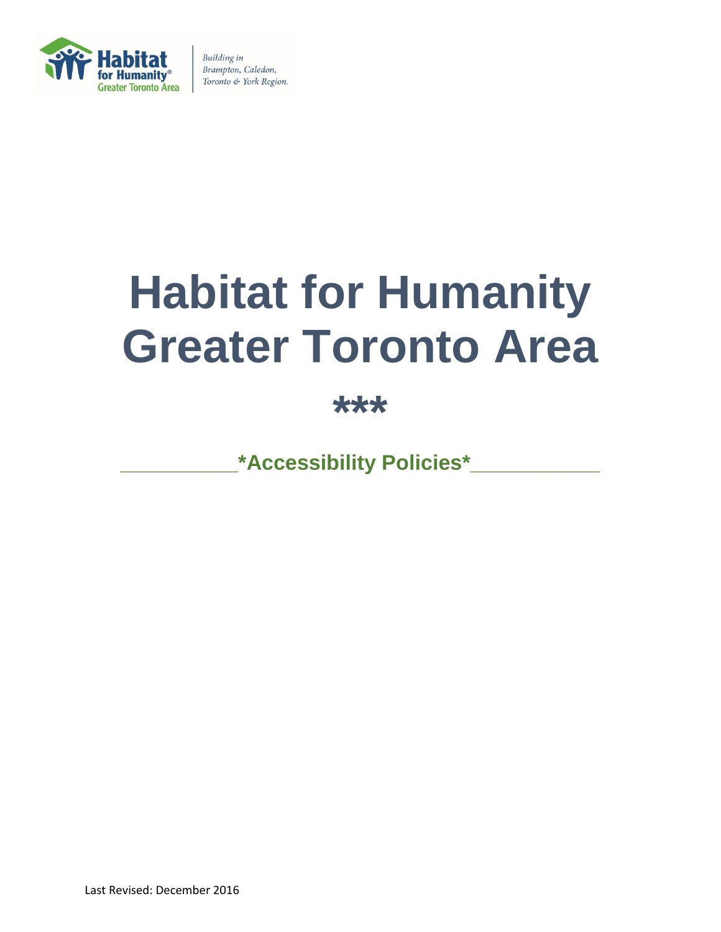

# **Habitat for Humanity Greater Toronto Area**

**\*\*\***

**\_\_\_\_\_\_\_\_\_\_\*Accessibility Policies\*\_\_\_\_\_\_\_\_\_\_\_**

Last Revised: December 2016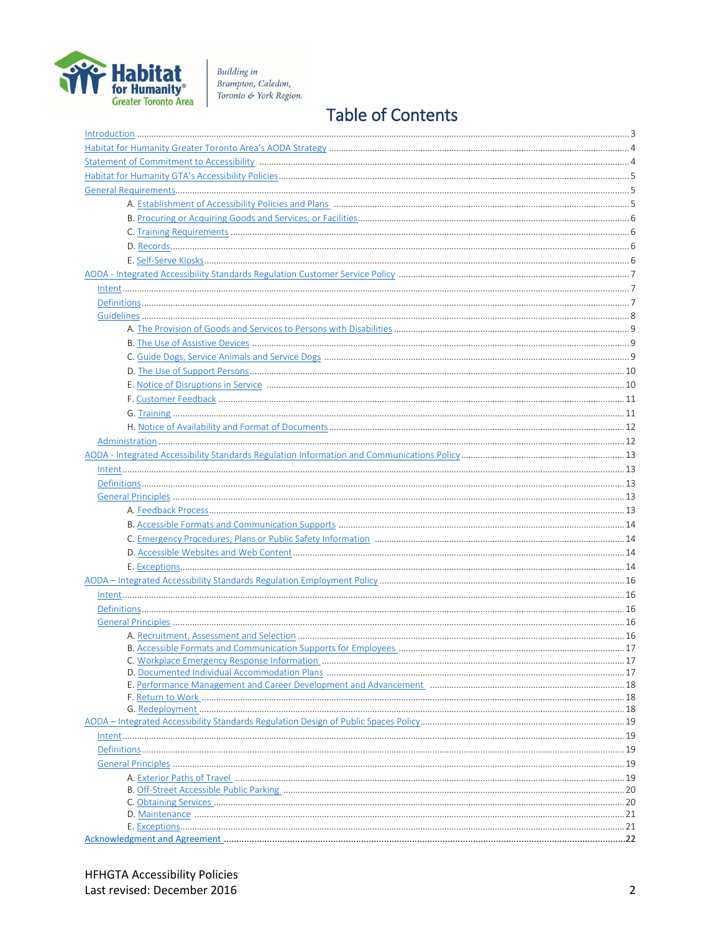

## **Table of Contents**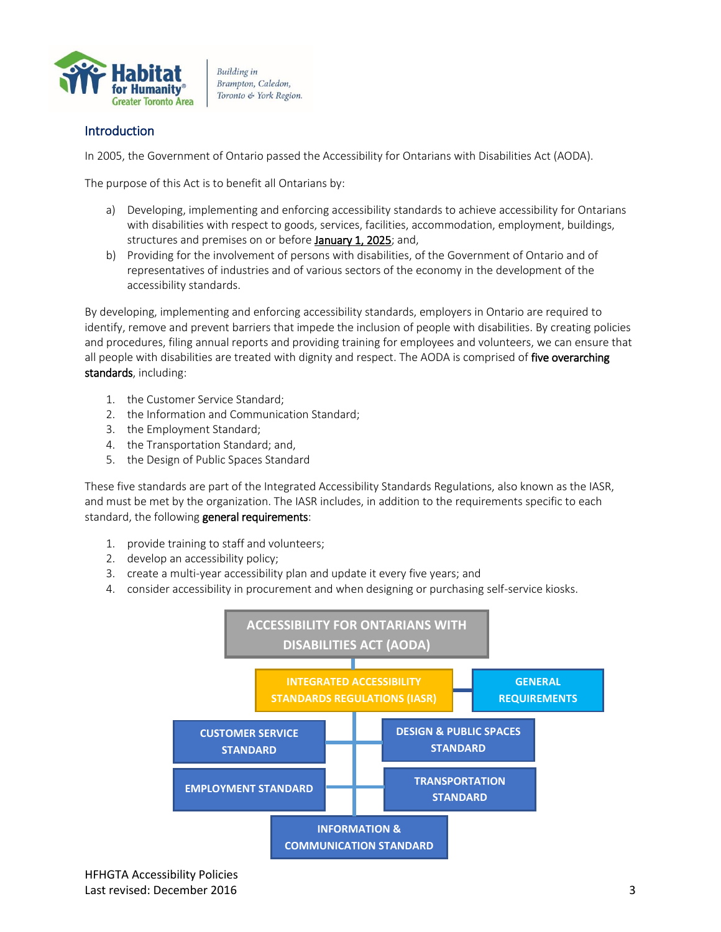<span id="page-2-0"></span>

## **Introduction**

In 2005, the Government of Ontario passed the Accessibility for Ontarians with Disabilities Act (AODA).

The purpose of this Act is to benefit all Ontarians by:

- a) Developing, implementing and enforcing accessibility standards to achieve accessibility for Ontarians with disabilities with respect to goods, services, facilities, accommodation, employment, buildings, structures and premises on or before January 1, 2025; and,
- b) Providing for the involvement of persons with disabilities, of the Government of Ontario and of representatives of industries and of various sectors of the economy in the development of the accessibility standards.

By developing, implementing and enforcing accessibility standards, employers in Ontario are required to identify, remove and prevent barriers that impede the inclusion of people with disabilities. By creating policies and procedures, filing annual reports and providing training for employees and volunteers, we can ensure that all people with disabilities are treated with dignity and respect. The AODA is comprised of five overarching standards, including:

- 1. the Customer Service Standard;
- 2. the Information and Communication Standard;
- 3. the Employment Standard;
- 4. the Transportation Standard; and,
- 5. the Design of Public Spaces Standard

These five standards are part of the Integrated Accessibility Standards Regulations, also known as the IASR, and must be met by the organization. The IASR includes, in addition to the requirements specific to each standard, the following general requirements:

- 1. provide training to staff and volunteers;
- 2. develop an accessibility policy;
- 3. create a multi-year accessibility plan and update it every five years; and
- 4. consider accessibility in procurement and when designing or purchasing self-service kiosks.

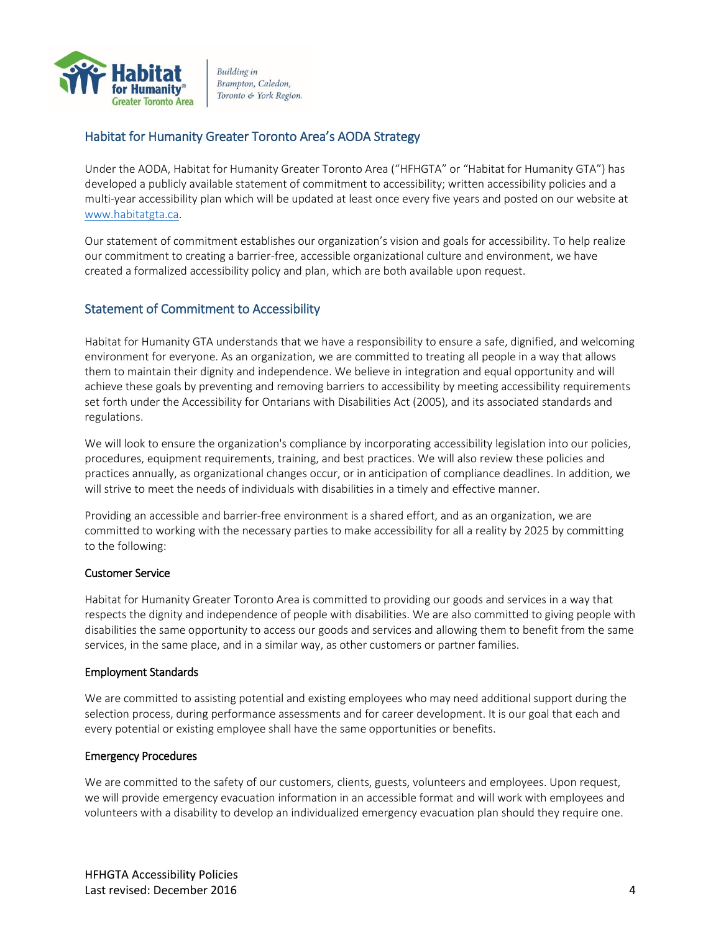

## <span id="page-3-0"></span>Habitat for Humanity Greater Toronto Area's AODA Strategy

Under the AODA, Habitat for Humanity Greater Toronto Area ("HFHGTA" or "Habitat for Humanity GTA") has developed a publicly available statement of commitment to accessibility; written accessibility policies and a multi-year accessibility plan which will be updated at least once every five years and posted on our website at [www.habitatgta.ca.](http://www.habitatgta.ca/)

Our statement of commitment establishes our organization's vision and goals for accessibility. To help realize our commitment to creating a barrier-free, accessible organizational culture and environment, we have created a formalized accessibility policy and plan, which are both available upon request.

## <span id="page-3-1"></span>Statement of Commitment to Accessibility

Habitat for Humanity GTA understands that we have a responsibility to ensure a safe, dignified, and welcoming environment for everyone. As an organization, we are committed to treating all people in a way that allows them to maintain their dignity and independence. We believe in integration and equal opportunity and will achieve these goals by preventing and removing barriers to accessibility by meeting accessibility requirements set forth under the Accessibility for Ontarians with Disabilities Act (2005), and its associated standards and regulations.

We will look to ensure the organization's compliance by incorporating accessibility legislation into our policies, procedures, equipment requirements, training, and best practices. We will also review these policies and practices annually, as organizational changes occur, or in anticipation of compliance deadlines. In addition, we will strive to meet the needs of individuals with disabilities in a timely and effective manner.

Providing an accessible and barrier-free environment is a shared effort, and as an organization, we are committed to working with the necessary parties to make accessibility for all a reality by 2025 by committing to the following:

#### Customer Service

Habitat for Humanity Greater Toronto Area is committed to providing our goods and services in a way that respects the dignity and independence of people with disabilities. We are also committed to giving people with disabilities the same opportunity to access our goods and services and allowing them to benefit from the same services, in the same place, and in a similar way, as other customers or partner families.

#### Employment Standards

We are committed to assisting potential and existing employees who may need additional support during the selection process, during performance assessments and for career development. It is our goal that each and every potential or existing employee shall have the same opportunities or benefits.

#### Emergency Procedures

We are committed to the safety of our customers, clients, guests, volunteers and employees. Upon request, we will provide emergency evacuation information in an accessible format and will work with employees and volunteers with a disability to develop an individualized emergency evacuation plan should they require one.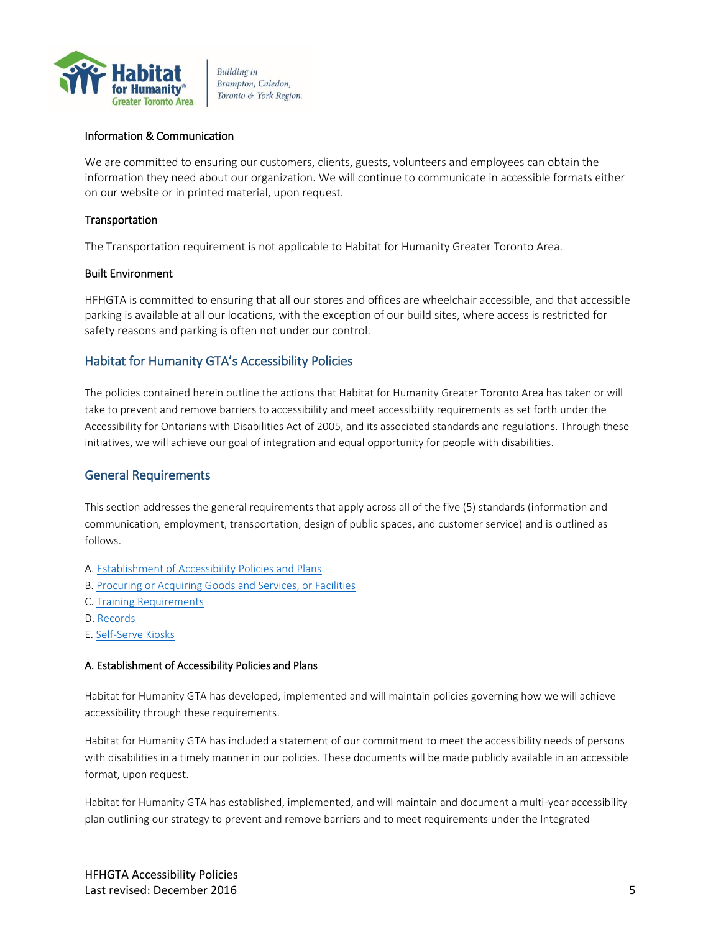

#### Information & Communication

We are committed to ensuring our customers, clients, guests, volunteers and employees can obtain the information they need about our organization. We will continue to communicate in accessible formats either on our website or in printed material, upon request.

#### Transportation

The Transportation requirement is not applicable to Habitat for Humanity Greater Toronto Area.

#### Built Environment

HFHGTA is committed to ensuring that all our stores and offices are wheelchair accessible, and that accessible parking is available at all our locations, with the exception of our build sites, where access is restricted for safety reasons and parking is often not under our control.

## <span id="page-4-0"></span>Habitat for Humanity GTA's Accessibility Policies

The policies contained herein outline the actions that Habitat for Humanity Greater Toronto Area has taken or will take to prevent and remove barriers to accessibility and meet accessibility requirements as set forth under the Accessibility for Ontarians with Disabilities Act of 2005, and its associated standards and regulations. Through these initiatives, we will achieve our goal of integration and equal opportunity for people with disabilities.

## <span id="page-4-1"></span>General Requirements

This section addresses the general requirements that apply across all of the five (5) standards (information and communication, employment, transportation, design of public spaces, and customer service) and is outlined as follows.

- A[. Establishment of Accessibility Policies and Plans](#page-4-2)
- B. [Procuring or Acquiring Goods and Services, or Facilities](#page-5-0)
- C. [Training Requirements](#page-5-1)
- D. [Records](#page-5-2)
- E[. Self-Serve Kiosks](#page-5-3)

#### <span id="page-4-2"></span>A. Establishment of Accessibility Policies and Plans

Habitat for Humanity GTA has developed, implemented and will maintain policies governing how we will achieve accessibility through these requirements.

Habitat for Humanity GTA has included a statement of our commitment to meet the accessibility needs of persons with disabilities in a timely manner in our policies. These documents will be made publicly available in an accessible format, upon request.

Habitat for Humanity GTA has established, implemented, and will maintain and document a multi-year accessibility plan outlining our strategy to prevent and remove barriers and to meet requirements under the Integrated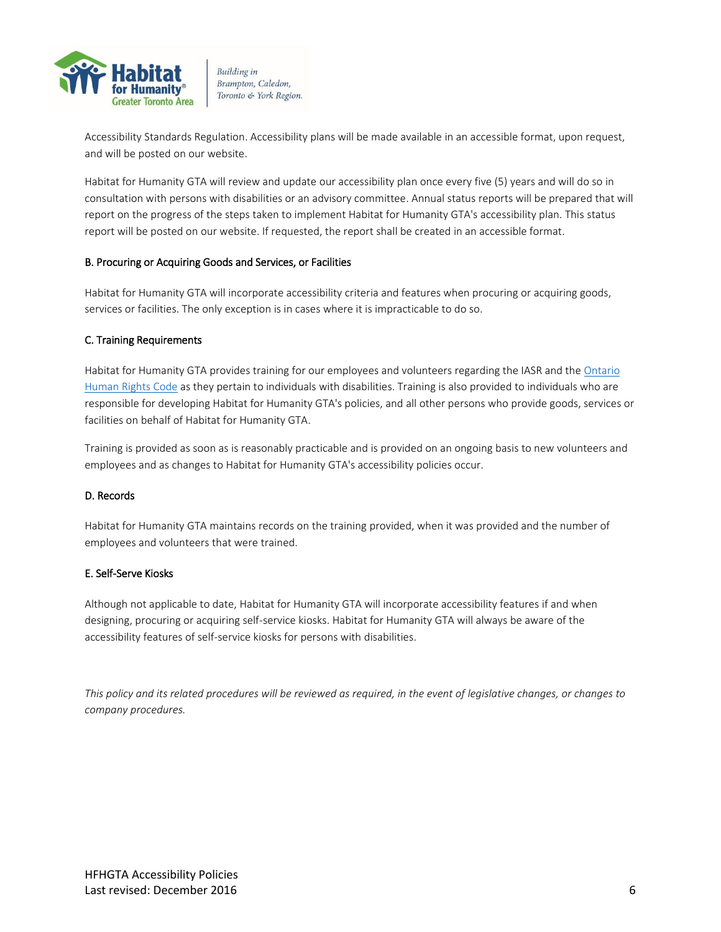

Accessibility Standards Regulation. Accessibility plans will be made available in an accessible format, upon request, and will be posted on our website.

Habitat for Humanity GTA will review and update our accessibility plan once every five (5) years and will do so in consultation with persons with disabilities or an advisory committee. Annual status reports will be prepared that will report on the progress of the steps taken to implement Habitat for Humanity GTA's accessibility plan. This status report will be posted on our website. If requested, the report shall be created in an accessible format.

#### <span id="page-5-0"></span>B. Procuring or Acquiring Goods and Services, or Facilities

Habitat for Humanity GTA will incorporate accessibility criteria and features when procuring or acquiring goods, services or facilities. The only exception is in cases where it is impracticable to do so.

#### <span id="page-5-1"></span>C. Training Requirements

Habitat for Humanity GTA provides training for our employees and volunteers regarding the IASR and the [Ontario](http://www.e-laws.gov.on.ca/html/statutes/english/elaws_statutes_90h19_e.htm)  [Human Rights Code](http://www.e-laws.gov.on.ca/html/statutes/english/elaws_statutes_90h19_e.htm) as they pertain to individuals with disabilities. Training is also provided to individuals who are responsible for developing Habitat for Humanity GTA's policies, and all other persons who provide goods, services or facilities on behalf of Habitat for Humanity GTA.

Training is provided as soon as is reasonably practicable and is provided on an ongoing basis to new volunteers and employees and as changes to Habitat for Humanity GTA's accessibility policies occur.

#### <span id="page-5-2"></span>D. Records

Habitat for Humanity GTA maintains records on the training provided, when it was provided and the number of employees and volunteers that were trained.

#### <span id="page-5-3"></span>E. Self-Serve Kiosks

Although not applicable to date, Habitat for Humanity GTA will incorporate accessibility features if and when designing, procuring or acquiring self-service kiosks. Habitat for Humanity GTA will always be aware of the accessibility features of self-service kiosks for persons with disabilities.

*This policy and its related procedures will be reviewed as required, in the event of legislative changes, or changes to company procedures.*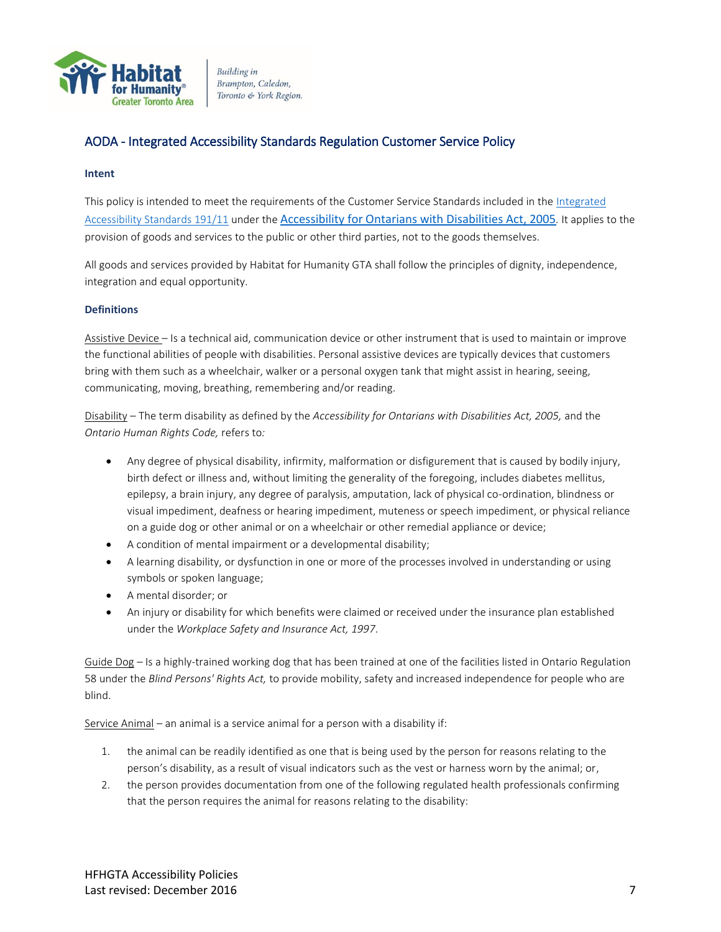

## <span id="page-6-0"></span>AODA - Integrated Accessibility Standards Regulation Customer Service Policy

#### <span id="page-6-1"></span>**Intent**

This policy is intended to meet the requirements of the Customer Service Standards included in th[e Integrated](http://www.e-laws.gov.on.ca/html/regs/english/elaws_regs_110191_e.htm)  [Accessibility Standards 191/11](http://www.e-laws.gov.on.ca/html/regs/english/elaws_regs_110191_e.htm) under the [Accessibility for Ontarians with Disabilities Act, 2005](http://www.e-laws.gov.on.ca/html/statutes/english/elaws_statutes_05a11_e.htm)*.* It applies to the provision of goods and services to the public or other third parties, not to the goods themselves.

All goods and services provided by Habitat for Humanity GTA shall follow the principles of dignity, independence, integration and equal opportunity.

#### <span id="page-6-2"></span>**Definitions**

Assistive Device – Is a technical aid, communication device or other instrument that is used to maintain or improve the functional abilities of people with disabilities. Personal assistive devices are typically devices that customers bring with them such as a wheelchair, walker or a personal oxygen tank that might assist in hearing, seeing, communicating, moving, breathing, remembering and/or reading.

Disability – The term disability as defined by the *Accessibility for Ontarians with Disabilities Act, 2005,* and the *Ontario Human Rights Code,* refers to*:*

- Any degree of physical disability, infirmity, malformation or disfigurement that is caused by bodily injury, birth defect or illness and, without limiting the generality of the foregoing, includes diabetes mellitus, epilepsy, a brain injury, any degree of paralysis, amputation, lack of physical co-ordination, blindness or visual impediment, deafness or hearing impediment, muteness or speech impediment, or physical reliance on a guide dog or other animal or on a wheelchair or other remedial appliance or device;
- A condition of mental impairment or a developmental disability;
- A learning disability, or dysfunction in one or more of the processes involved in understanding or using symbols or spoken language;
- A mental disorder; or
- An injury or disability for which benefits were claimed or received under the insurance plan established under the *Workplace Safety and Insurance Act, 1997*.

Guide Dog – Is a highly-trained working dog that has been trained at one of the facilities listed in Ontario Regulation 58 under the *Blind Persons' Rights Act,* to provide mobility, safety and increased independence for people who are blind.

Service Animal – an animal is a service animal for a person with a disability if:

- 1. the animal can be readily identified as one that is being used by the person for reasons relating to the person's disability, as a result of visual indicators such as the vest or harness worn by the animal; or,
- 2. the person provides documentation from one of the following regulated health professionals confirming that the person requires the animal for reasons relating to the disability: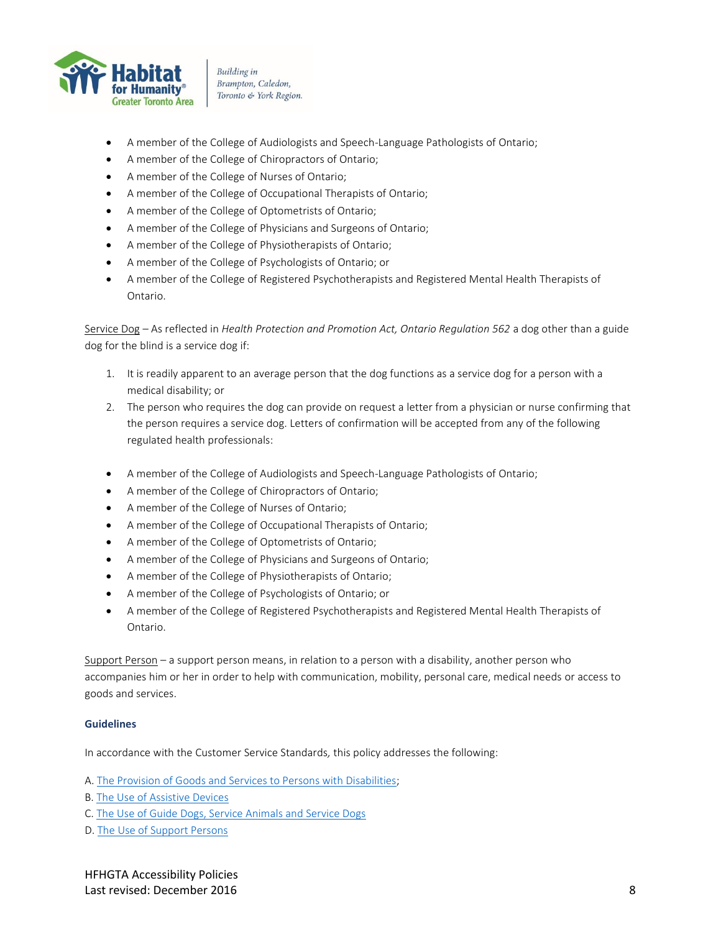

- A member of the College of Audiologists and Speech-Language Pathologists of Ontario;
- A member of the College of Chiropractors of Ontario;
- A member of the College of Nurses of Ontario;
- A member of the College of Occupational Therapists of Ontario;
- A member of the College of Optometrists of Ontario;
- A member of the College of Physicians and Surgeons of Ontario;
- A member of the College of Physiotherapists of Ontario;
- A member of the College of Psychologists of Ontario; or
- A member of the College of Registered Psychotherapists and Registered Mental Health Therapists of Ontario.

Service Dog - As reflected in *Health Protection and Promotion Act, Ontario Regulation 562* a dog other than a guide dog for the blind is a service dog if:

- 1. It is readily apparent to an average person that the dog functions as a service dog for a person with a medical disability; or
- 2. The person who requires the dog can provide on request a letter from a physician or nurse confirming that the person requires a service dog. Letters of confirmation will be accepted from any of the following regulated health professionals:
- A member of the College of Audiologists and Speech-Language Pathologists of Ontario;
- A member of the College of Chiropractors of Ontario;
- A member of the College of Nurses of Ontario;
- A member of the College of Occupational Therapists of Ontario;
- A member of the College of Optometrists of Ontario;
- A member of the College of Physicians and Surgeons of Ontario;
- A member of the College of Physiotherapists of Ontario;
- A member of the College of Psychologists of Ontario; or
- A member of the College of Registered Psychotherapists and Registered Mental Health Therapists of Ontario.

Support Person – a support person means, in relation to a person with a disability, another person who accompanies him or her in order to help with communication, mobility, personal care, medical needs or access to goods and services.

#### <span id="page-7-0"></span>**Guidelines**

In accordance with the Customer Service Standards*,* this policy addresses the following:

A[. The Provision of Goods and Services to Persons with Disabilities;](#page-8-0)

- B. [The Use of Assistive Devices](#page-8-1)
- C. [The Use of Guide Dogs, Service Animals and Service Dogs](#page-8-2)
- D. [The Use of Support Persons](#page-9-0)

HFHGTA Accessibility Policies Last revised: December 2016 8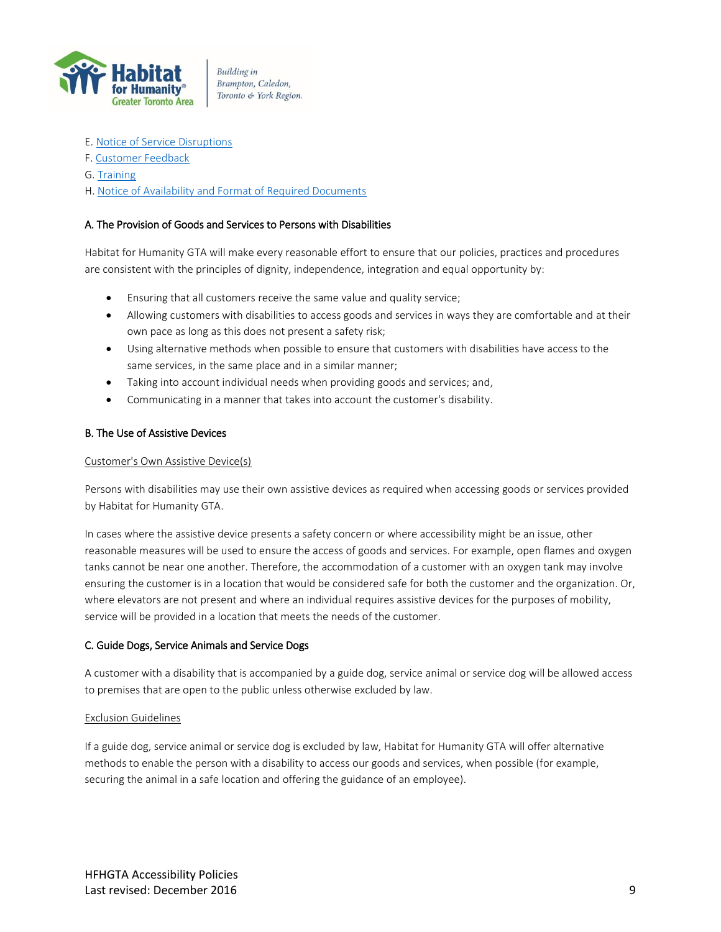

- E[. Notice of Service Disruptions](#page-9-1)
- F[. Customer Feedback](#page-10-0)
- G. [Training](#page-10-1)
- H. [Notice of Availability and Format of Required Documents](#page-11-0)

#### <span id="page-8-0"></span>A. The Provision of Goods and Services to Persons with Disabilities

Habitat for Humanity GTA will make every reasonable effort to ensure that our policies, practices and procedures are consistent with the principles of dignity, independence, integration and equal opportunity by:

- Ensuring that all customers receive the same value and quality service;
- Allowing customers with disabilities to access goods and services in ways they are comfortable and at their own pace as long as this does not present a safety risk;
- Using alternative methods when possible to ensure that customers with disabilities have access to the same services, in the same place and in a similar manner;
- Taking into account individual needs when providing goods and services; and,
- Communicating in a manner that takes into account the customer's disability.

#### <span id="page-8-1"></span>B. The Use of Assistive Devices

#### Customer's Own Assistive Device(s)

Persons with disabilities may use their own assistive devices as required when accessing goods or services provided by Habitat for Humanity GTA.

In cases where the assistive device presents a safety concern or where accessibility might be an issue, other reasonable measures will be used to ensure the access of goods and services. For example, open flames and oxygen tanks cannot be near one another. Therefore, the accommodation of a customer with an oxygen tank may involve ensuring the customer is in a location that would be considered safe for both the customer and the organization. Or, where elevators are not present and where an individual requires assistive devices for the purposes of mobility, service will be provided in a location that meets the needs of the customer.

#### <span id="page-8-2"></span>C. Guide Dogs, Service Animals and Service Dogs

A customer with a disability that is accompanied by a guide dog, service animal or service dog will be allowed access to premises that are open to the public unless otherwise excluded by law.

#### Exclusion Guidelines

If a guide dog, service animal or service dog is excluded by law, Habitat for Humanity GTA will offer alternative methods to enable the person with a disability to access our goods and services, when possible (for example, securing the animal in a safe location and offering the guidance of an employee).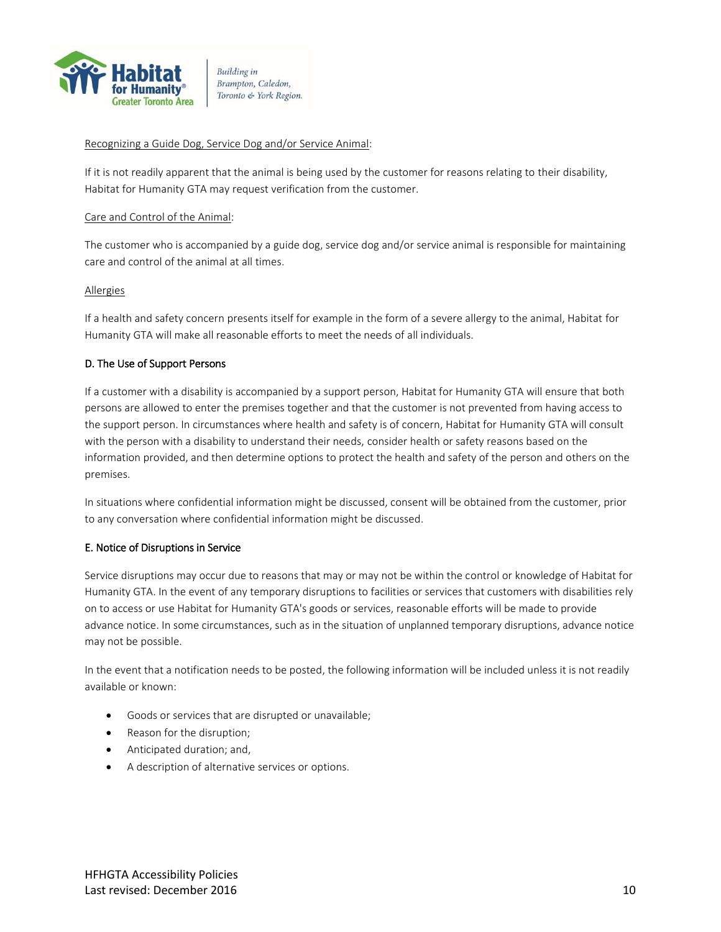

#### Recognizing a Guide Dog, Service Dog and/or Service Animal:

If it is not readily apparent that the animal is being used by the customer for reasons relating to their disability, Habitat for Humanity GTA may request verification from the customer.

#### Care and Control of the Animal:

The customer who is accompanied by a guide dog, service dog and/or service animal is responsible for maintaining care and control of the animal at all times.

#### Allergies

If a health and safety concern presents itself for example in the form of a severe allergy to the animal, Habitat for Humanity GTA will make all reasonable efforts to meet the needs of all individuals.

#### <span id="page-9-0"></span>D. The Use of Support Persons

If a customer with a disability is accompanied by a support person, Habitat for Humanity GTA will ensure that both persons are allowed to enter the premises together and that the customer is not prevented from having access to the support person. In circumstances where health and safety is of concern, Habitat for Humanity GTA will consult with the person with a disability to understand their needs, consider health or safety reasons based on the information provided, and then determine options to protect the health and safety of the person and others on the premises.

In situations where confidential information might be discussed, consent will be obtained from the customer, prior to any conversation where confidential information might be discussed.

#### <span id="page-9-1"></span>E. Notice of Disruptions in Service

Service disruptions may occur due to reasons that may or may not be within the control or knowledge of Habitat for Humanity GTA. In the event of any temporary disruptions to facilities or services that customers with disabilities rely on to access or use Habitat for Humanity GTA's goods or services, reasonable efforts will be made to provide advance notice. In some circumstances, such as in the situation of unplanned temporary disruptions, advance notice may not be possible.

In the event that a notification needs to be posted, the following information will be included unless it is not readily available or known:

- Goods or services that are disrupted or unavailable;
- Reason for the disruption;
- Anticipated duration; and,
- A description of alternative services or options.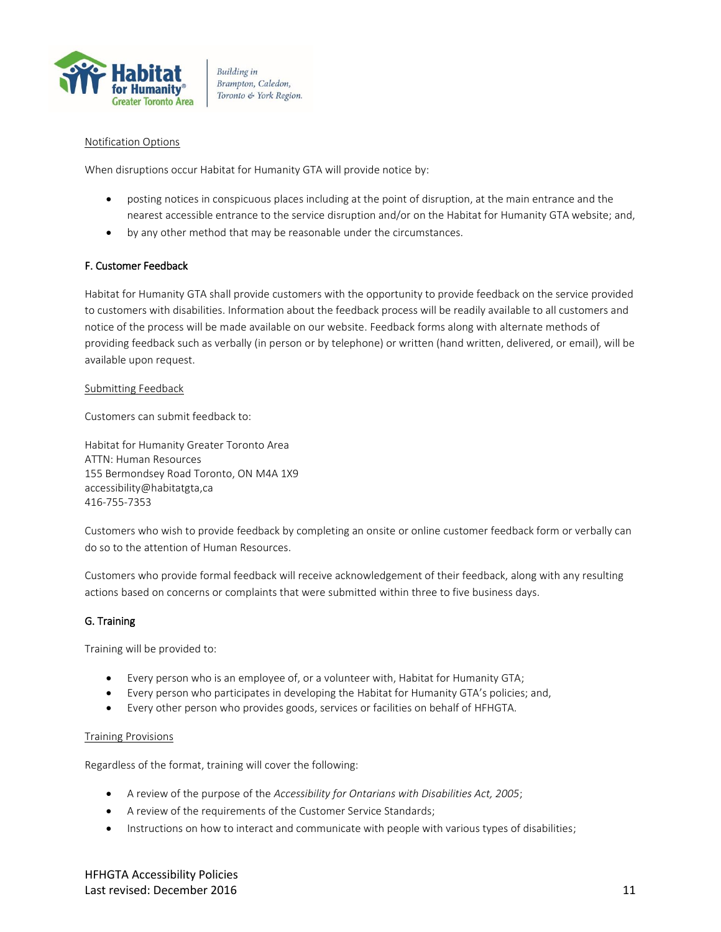

#### Notification Options

When disruptions occur Habitat for Humanity GTA will provide notice by:

- posting notices in conspicuous places including at the point of disruption, at the main entrance and the nearest accessible entrance to the service disruption and/or on the Habitat for Humanity GTA website; and,
- by any other method that may be reasonable under the circumstances.

#### <span id="page-10-0"></span>F. Customer Feedback

Habitat for Humanity GTA shall provide customers with the opportunity to provide feedback on the service provided to customers with disabilities. Information about the feedback process will be readily available to all customers and notice of the process will be made available on our website. Feedback forms along with alternate methods of providing feedback such as verbally (in person or by telephone) or written (hand written, delivered, or email), will be available upon request.

#### Submitting Feedback

Customers can submit feedback to:

Habitat for Humanity Greater Toronto Area ATTN: Human Resources 155 Bermondsey Road Toronto, ON M4A 1X9 accessibility@habitatgta,ca 416-755-7353

Customers who wish to provide feedback by completing an onsite or online customer feedback form or verbally can do so to the attention of Human Resources.

Customers who provide formal feedback will receive acknowledgement of their feedback, along with any resulting actions based on concerns or complaints that were submitted within three to five business days.

#### <span id="page-10-1"></span>G. Training

Training will be provided to:

- Every person who is an employee of, or a volunteer with, Habitat for Humanity GTA;
- Every person who participates in developing the Habitat for Humanity GTA's policies; and,
- Every other person who provides goods, services or facilities on behalf of HFHGTA.

#### Training Provisions

Regardless of the format, training will cover the following:

- A review of the purpose of the *Accessibility for Ontarians with Disabilities Act, 2005*;
- A review of the requirements of the Customer Service Standards;
- Instructions on how to interact and communicate with people with various types of disabilities;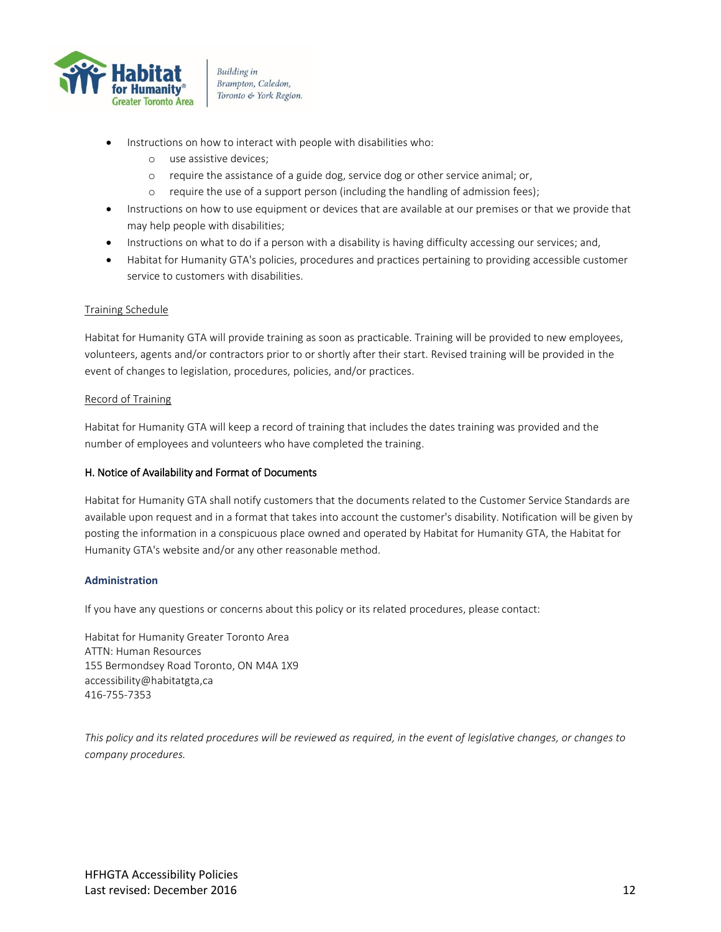

- Instructions on how to interact with people with disabilities who:
	- o use assistive devices;
	- o require the assistance of a guide dog, service dog or other service animal; or,
	- o require the use of a support person (including the handling of admission fees);
- Instructions on how to use equipment or devices that are available at our premises or that we provide that may help people with disabilities;
- Instructions on what to do if a person with a disability is having difficulty accessing our services; and,
- Habitat for Humanity GTA's policies, procedures and practices pertaining to providing accessible customer service to customers with disabilities.

#### Training Schedule

Habitat for Humanity GTA will provide training as soon as practicable. Training will be provided to new employees, volunteers, agents and/or contractors prior to or shortly after their start. Revised training will be provided in the event of changes to legislation, procedures, policies, and/or practices.

#### Record of Training

Habitat for Humanity GTA will keep a record of training that includes the dates training was provided and the number of employees and volunteers who have completed the training.

#### <span id="page-11-0"></span>H. Notice of Availability and Format of Documents

Habitat for Humanity GTA shall notify customers that the documents related to the Customer Service Standards are available upon request and in a format that takes into account the customer's disability. Notification will be given by posting the information in a conspicuous place owned and operated by Habitat for Humanity GTA, the Habitat for Humanity GTA's website and/or any other reasonable method.

#### <span id="page-11-1"></span>**Administration**

If you have any questions or concerns about this policy or its related procedures, please contact:

Habitat for Humanity Greater Toronto Area ATTN: Human Resources 155 Bermondsey Road Toronto, ON M4A 1X9 accessibility@habitatgta,ca 416-755-7353

*This policy and its related procedures will be reviewed as required, in the event of legislative changes, or changes to company procedures.*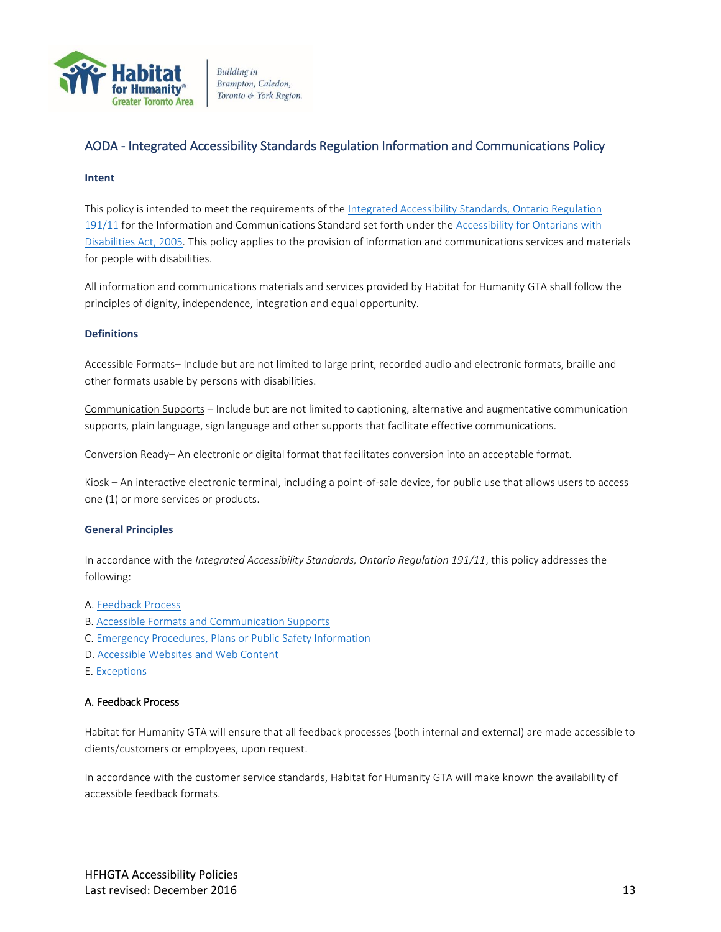

## <span id="page-12-0"></span>AODA - Integrated Accessibility Standards Regulation Information and Communications Policy

#### <span id="page-12-1"></span>**Intent**

This policy is intended to meet the requirements of th[e Integrated Accessibility Standards, Ontario Regulation](http://www.e-laws.gov.on.ca/html/regs/english/elaws_regs_110191_e.htm)  [191/11](http://www.e-laws.gov.on.ca/html/regs/english/elaws_regs_110191_e.htm) for the Information and Communications Standard set forth under the Accessibility for Ontarians with [Disabilities Act, 2005](http://www.e-laws.gov.on.ca/html/statutes/english/elaws_statutes_05a11_e.htm)*.* This policy applies to the provision of information and communications services and materials for people with disabilities.

All information and communications materials and services provided by Habitat for Humanity GTA shall follow the principles of dignity, independence, integration and equal opportunity.

#### <span id="page-12-2"></span>**Definitions**

Accessible Formats– Include but are not limited to large print, recorded audio and electronic formats, braille and other formats usable by persons with disabilities.

Communication Supports – Include but are not limited to captioning, alternative and augmentative communication supports, plain language, sign language and other supports that facilitate effective communications.

Conversion Ready– An electronic or digital format that facilitates conversion into an acceptable format.

Kiosk – An interactive electronic terminal, including a point-of-sale device, for public use that allows users to access one (1) or more services or products.

#### <span id="page-12-3"></span>**General Principles**

In accordance with the *Integrated Accessibility Standards, Ontario Regulation 191/11*, this policy addresses the following:

- A[. Feedback Process](#page-12-4)
- B. [Accessible Formats and Communication Supports](#page-13-0)
- C. [Emergency Procedures, Plans or Public Safety Information](#page-13-1)
- D. [Accessible Websites and Web Content](#page-13-2)
- <span id="page-12-4"></span>E[. Exceptions](#page-13-3)

#### A. Feedback Process

Habitat for Humanity GTA will ensure that all feedback processes (both internal and external) are made accessible to clients/customers or employees, upon request.

In accordance with the customer service standards, Habitat for Humanity GTA will make known the availability of accessible feedback formats.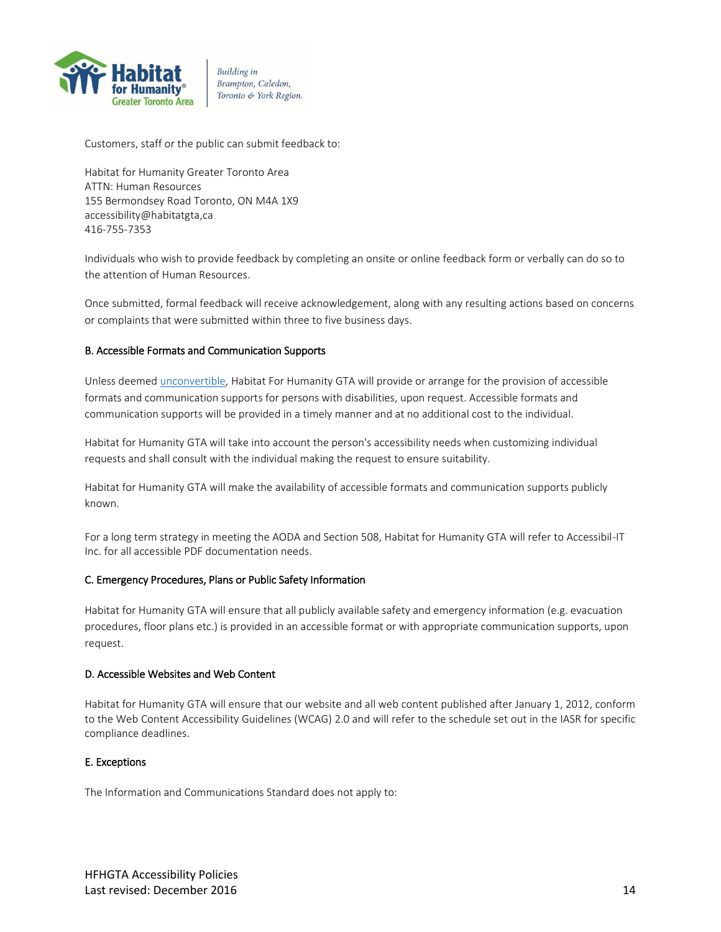

Customers, staff or the public can submit feedback to:

Habitat for Humanity Greater Toronto Area ATTN: Human Resources 155 Bermondsey Road Toronto, ON M4A 1X9 accessibility@habitatgta,ca 416-755-7353

Individuals who wish to provide feedback by completing an onsite or online feedback form or verbally can do so to the attention of Human Resources.

Once submitted, formal feedback will receive acknowledgement, along with any resulting actions based on concerns or complaints that were submitted within three to five business days.

#### <span id="page-13-0"></span>B. Accessible Formats and Communication Supports

Unless deemed [unconvertible,](https://www.hrdownloads.com/related?topic=aoda#Unconvertible) Habitat For Humanity GTA will provide or arrange for the provision of accessible formats and communication supports for persons with disabilities, upon request. Accessible formats and communication supports will be provided in a timely manner and at no additional cost to the individual.

Habitat for Humanity GTA will take into account the person's accessibility needs when customizing individual requests and shall consult with the individual making the request to ensure suitability.

Habitat for Humanity GTA will make the availability of accessible formats and communication supports publicly known.

For a long term strategy in meeting the AODA and Section 508, Habitat for Humanity GTA will refer to Accessibil-IT Inc. for all accessible PDF documentation needs.

#### <span id="page-13-1"></span>C. Emergency Procedures, Plans or Public Safety Information

Habitat for Humanity GTA will ensure that all publicly available safety and emergency information (e.g. evacuation procedures, floor plans etc.) is provided in an accessible format or with appropriate communication supports, upon request.

#### <span id="page-13-2"></span>D. Accessible Websites and Web Content

Habitat for Humanity GTA will ensure that our website and all web content published after January 1, 2012, conform to the Web Content Accessibility Guidelines (WCAG) 2.0 and will refer to the schedule set out in the IASR for specific compliance deadlines.

#### <span id="page-13-3"></span>E. Exceptions

The Information and Communications Standard does not apply to: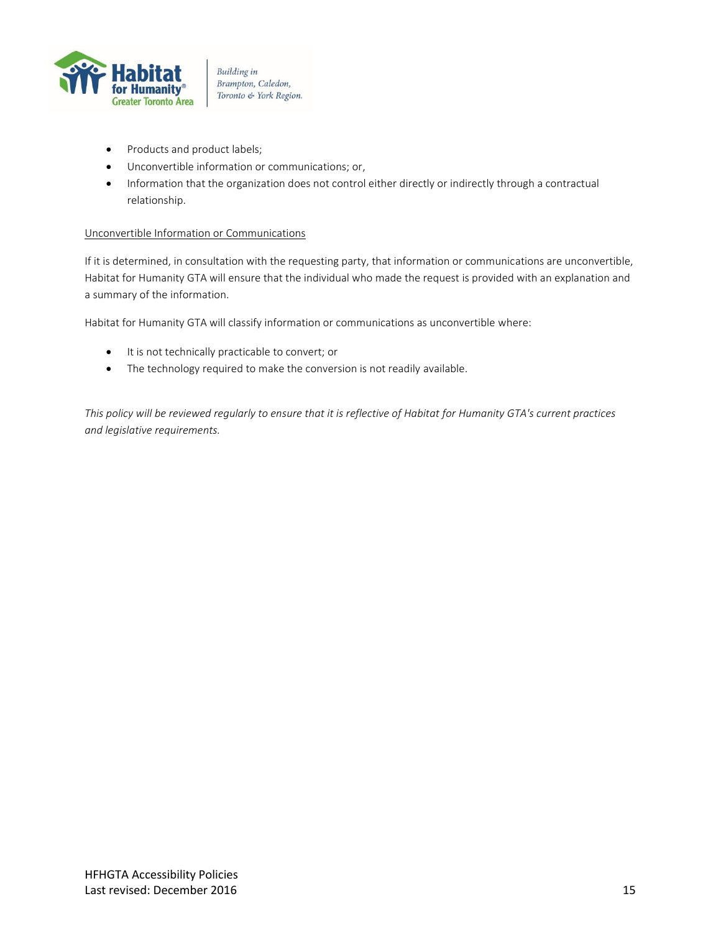

- Products and product labels;
- Unconvertible information or communications; or,
- Information that the organization does not control either directly or indirectly through a contractual relationship.

#### Unconvertible Information or Communications

If it is determined, in consultation with the requesting party, that information or communications are unconvertible, Habitat for Humanity GTA will ensure that the individual who made the request is provided with an explanation and a summary of the information.

Habitat for Humanity GTA will classify information or communications as unconvertible where:

- It is not technically practicable to convert; or
- The technology required to make the conversion is not readily available.

*This policy will be reviewed regularly to ensure that it is reflective of Habitat for Humanity GTA's current practices and legislative requirements.*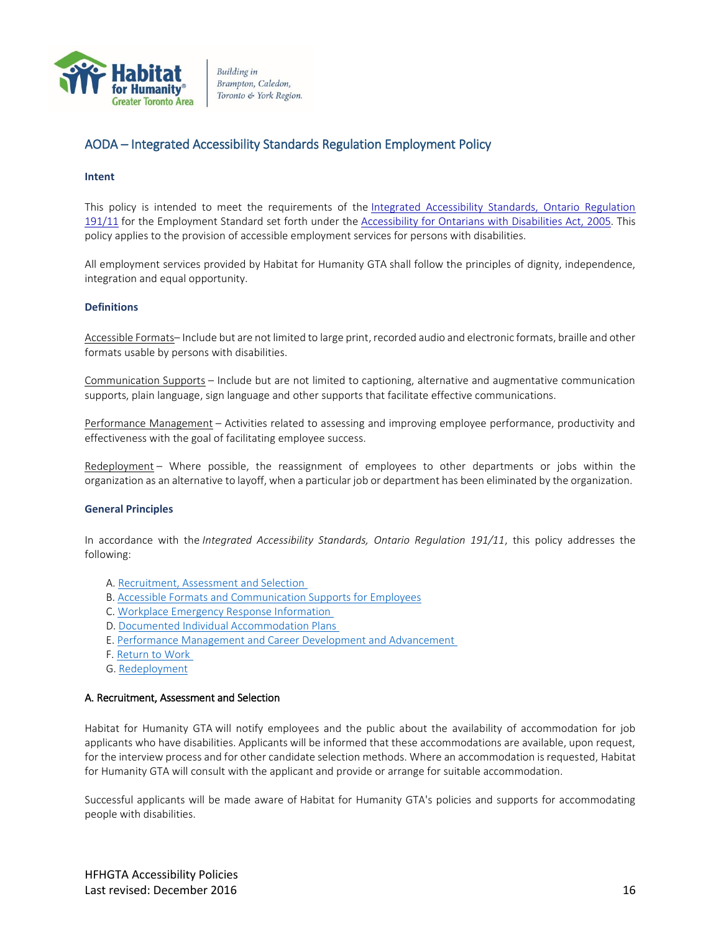

## <span id="page-15-0"></span>AODA – Integrated Accessibility Standards Regulation Employment Policy

#### <span id="page-15-1"></span>**Intent**

This policy is intended to meet the requirements of the Integrated Accessibility Standards, Ontario Regulation [191/11](http://www.e-laws.gov.on.ca/html/regs/english/elaws_regs_110191_e.htm) for the Employment Standard set forth under the [Accessibility for Ontarians with Disabilities Act, 2005](http://www.e-laws.gov.on.ca/html/statutes/english/elaws_statutes_05a11_e.htm)*.* This policy applies to the provision of accessible employment services for persons with disabilities.

All employment services provided by Habitat for Humanity GTA shall follow the principles of dignity, independence, integration and equal opportunity.

#### <span id="page-15-2"></span>**Definitions**

Accessible Formats– Include but are not limited to large print, recorded audio and electronic formats, braille and other formats usable by persons with disabilities.

Communication Supports – Include but are not limited to captioning, alternative and augmentative communication supports, plain language, sign language and other supports that facilitate effective communications.

Performance Management – Activities related to assessing and improving employee performance, productivity and effectiveness with the goal of facilitating employee success.

Redeployment – Where possible, the reassignment of employees to other departments or jobs within the organization as an alternative to layoff, when a particular job or department has been eliminated by the organization.

#### <span id="page-15-3"></span>**General Principles**

In accordance with the *Integrated Accessibility Standards, Ontario Regulation 191/11*, this policy addresses the following:

- A. [Recruitment, Assessment and Selection](#page-15-4)
- B. [Accessible Formats and Communication Supports for Employees](#page-16-0)
- C. [Workplace Emergency Response Information](#page-16-1)
- D. [Documented Individual Accommodation Plans](#page-16-2)
- E. [Performance Management and Career](#page-17-0) Development and Advancement
- F. [Return to Work](#page-17-1)
- G. [Redeployment](#page-17-2)

#### <span id="page-15-4"></span>A. Recruitment, Assessment and Selection

Habitat for Humanity GTA will notify employees and the public about the availability of accommodation for job applicants who have disabilities. Applicants will be informed that these accommodations are available, upon request, for the interview process and for other candidate selection methods. Where an accommodation is requested, Habitat for Humanity GTA will consult with the applicant and provide or arrange for suitable accommodation.

Successful applicants will be made aware of Habitat for Humanity GTA's policies and supports for accommodating people with disabilities.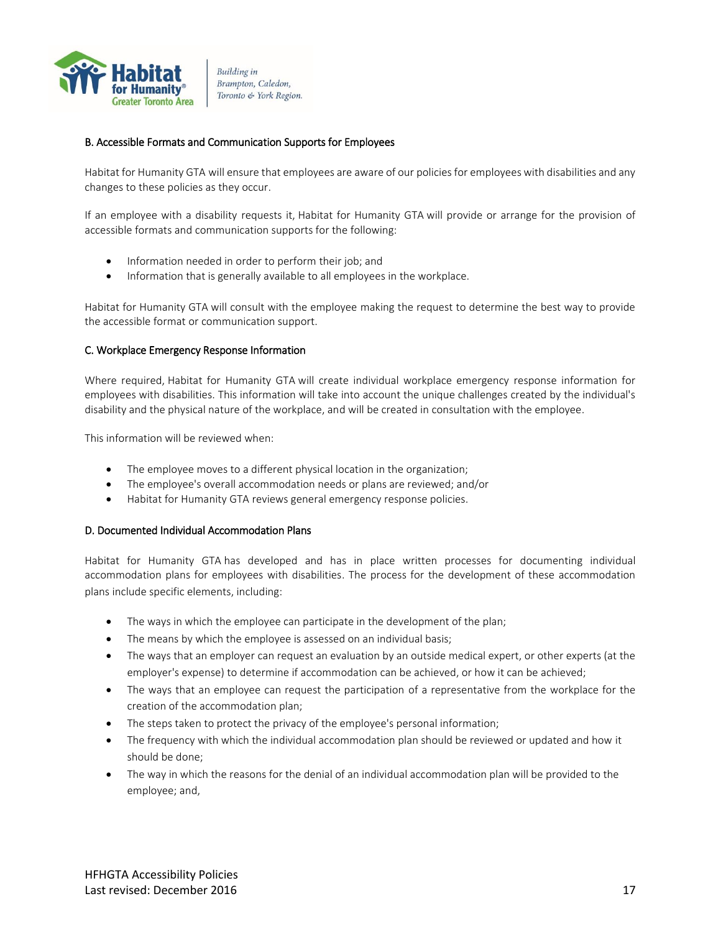

#### <span id="page-16-0"></span>B. Accessible Formats and Communication Supports for Employees

Habitat for Humanity GTA will ensure that employees are aware of our policies for employees with disabilities and any changes to these policies as they occur.

If an employee with a disability requests it, Habitat for Humanity GTA will provide or arrange for the provision of accessible formats and communication supports for the following:

- Information needed in order to perform their job: and
- Information that is generally available to all employees in the workplace.

Habitat for Humanity GTA will consult with the employee making the request to determine the best way to provide the accessible format or communication support.

#### <span id="page-16-1"></span>C. Workplace Emergency Response Information

Where required, Habitat for Humanity GTA will create individual workplace emergency response information for employees with disabilities. This information will take into account the unique challenges created by the individual's disability and the physical nature of the workplace, and will be created in consultation with the employee.

This information will be reviewed when:

- The employee moves to a different physical location in the organization;
- The employee's overall accommodation needs or plans are reviewed; and/or
- Habitat for Humanity GTA reviews general emergency response policies.

#### <span id="page-16-2"></span>D. Documented Individual Accommodation Plans

Habitat for Humanity GTA has developed and has in place written processes for documenting individual accommodation plans for employees with disabilities. The process for the development of these accommodation plans include specific elements, including:

- The ways in which the employee can participate in the development of the plan;
- The means by which the employee is assessed on an individual basis;
- The ways that an employer can request an evaluation by an outside medical expert, or other experts (at the employer's expense) to determine if accommodation can be achieved, or how it can be achieved;
- The ways that an employee can request the participation of a representative from the workplace for the creation of the accommodation plan;
- The steps taken to protect the privacy of the employee's personal information;
- The frequency with which the individual accommodation plan should be reviewed or updated and how it should be done;
- The way in which the reasons for the denial of an individual accommodation plan will be provided to the employee; and,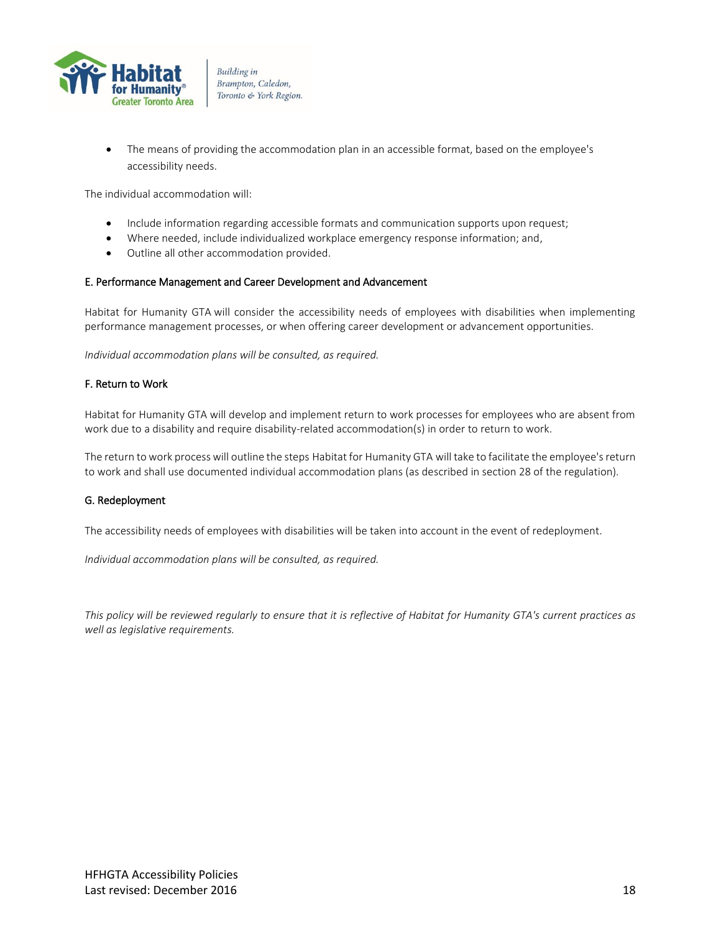

 The means of providing the accommodation plan in an accessible format, based on the employee's accessibility needs.

The individual accommodation will:

- Include information regarding accessible formats and communication supports upon request;
- Where needed, include individualized workplace emergency response information; and,
- Outline all other accommodation provided.

#### <span id="page-17-0"></span>E. Performance Management and Career Development and Advancement

Habitat for Humanity GTA will consider the accessibility needs of employees with disabilities when implementing performance management processes, or when offering career development or advancement opportunities.

*Individual accommodation plans will be consulted, as required.*

#### <span id="page-17-1"></span>F. Return to Work

Habitat for Humanity GTA will develop and implement return to work processes for employees who are absent from work due to a disability and require disability-related accommodation(s) in order to return to work.

The return to work process will outline the steps Habitat for Humanity GTA will take to facilitate the employee's return to work and shall use documented individual accommodation plans (as described in section 28 of the regulation).

#### <span id="page-17-2"></span>G. Redeployment

The accessibility needs of employees with disabilities will be taken into account in the event of redeployment.

*Individual accommodation plans will be consulted, as required.*

*This policy will be reviewed regularly to ensure that it is reflective of Habitat for Humanity GTA's current practices as well as legislative requirements.*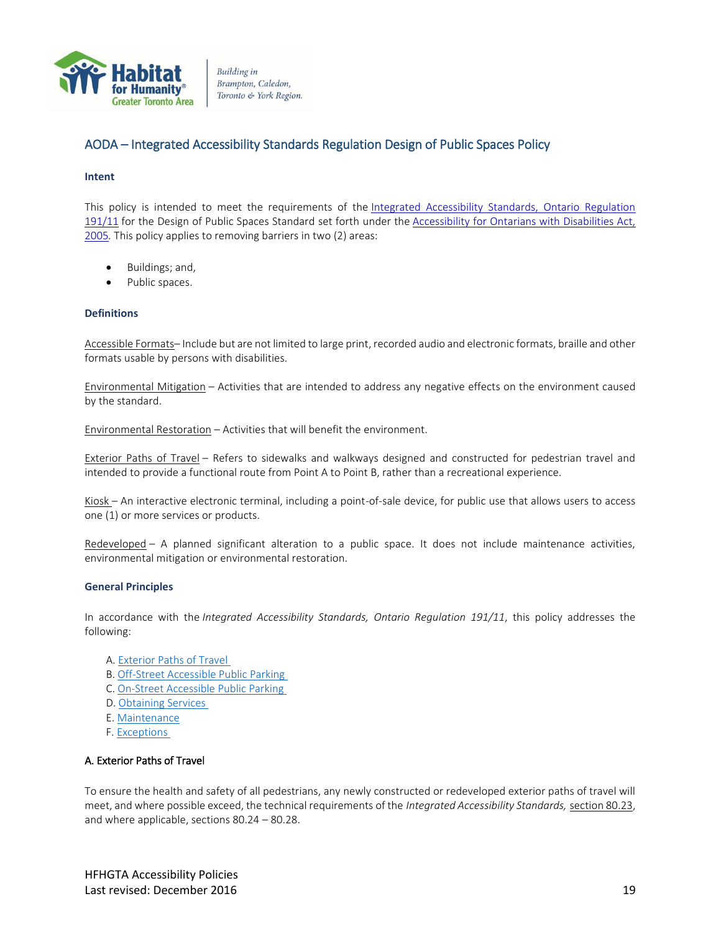

## <span id="page-18-0"></span>AODA – Integrated Accessibility Standards Regulation Design of Public Spaces Policy

#### <span id="page-18-1"></span>**Intent**

This policy is intended to meet the requirements of the Integrated Accessibility Standards, Ontario Regulation [191/11](http://www.e-laws.gov.on.ca/html/regs/english/elaws_regs_110191_e.htm) for the Design of Public Spaces Standard set forth under the [Accessibility for Ontarians with Disabilities Act,](http://www.e-laws.gov.on.ca/html/statutes/english/elaws_statutes_05a11_e.htm)  [2005](http://www.e-laws.gov.on.ca/html/statutes/english/elaws_statutes_05a11_e.htm)*.* This policy applies to removing barriers in two (2) areas:

- Buildings; and,
- Public spaces.

#### <span id="page-18-2"></span>**Definitions**

Accessible Formats– Include but are not limited to large print, recorded audio and electronic formats, braille and other formats usable by persons with disabilities.

Environmental Mitigation – Activities that are intended to address any negative effects on the environment caused by the standard.

Environmental Restoration – Activities that will benefit the environment.

Exterior Paths of Travel – Refers to sidewalks and walkways designed and constructed for pedestrian travel and intended to provide a functional route from Point A to Point B, rather than a recreational experience.

Kiosk – An interactive electronic terminal, including a point-of-sale device, for public use that allows users to access one (1) or more services or products.

Redeveloped – A planned significant alteration to a public space. It does not include maintenance activities, environmental mitigation or environmental restoration.

#### <span id="page-18-3"></span>**General Principles**

In accordance with the *Integrated Accessibility Standards, Ontario Regulation 191/11*, this policy addresses the following:

- A. [Exterior Paths of Travel](#page-18-4)
- B. [Off-Street Accessible Public Parking](#page-19-0)
- C. [On-Street Accessible Public Parking](#page-19-1)
- D. [Obtaining Services](#page-19-1)
- E. [Maintenance](#page-19-2)
- F. [Exceptions](#page-20-1)

#### <span id="page-18-4"></span>A. Exterior Paths of Travel

To ensure the health and safety of all pedestrians, any newly constructed or redeveloped exterior paths of travel will meet, and where possible exceed, the technical requirements of the *Integrated Accessibility Standards,* [section 80.23,](http://www.e-laws.gov.on.ca/html/regs/english/elaws_regs_110191_e.htm) and where applicable, sections 80.24 – 80.28.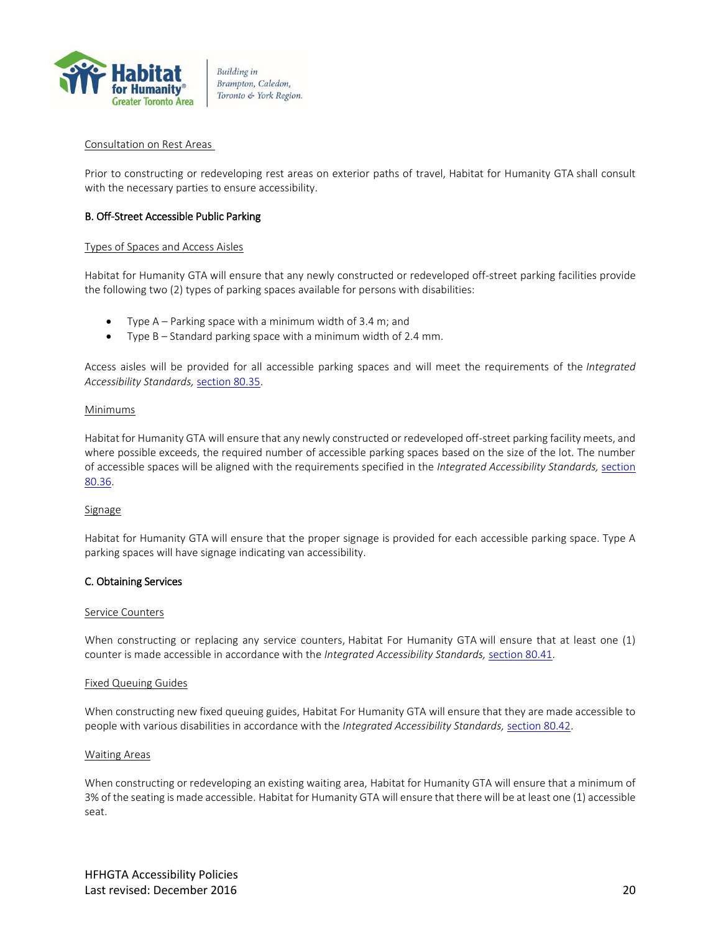

#### Consultation on Rest Areas

Prior to constructing or redeveloping rest areas on exterior paths of travel, Habitat for Humanity GTA shall consult with the necessary parties to ensure accessibility.

#### <span id="page-19-0"></span>B. Off-Street Accessible Public Parking

#### Types of Spaces and Access Aisles

Habitat for Humanity GTA will ensure that any newly constructed or redeveloped off-street parking facilities provide the following two (2) types of parking spaces available for persons with disabilities:

- Type A Parking space with a minimum width of 3.4 m; and
- Type B Standard parking space with a minimum width of 2.4 mm.

Access aisles will be provided for all accessible parking spaces and will meet the requirements of the *Integrated Accessibility Standards,* [section 80.35.](http://www.e-laws.gov.on.ca/html/regs/english/elaws_regs_110191_e.htm)

#### Minimums

Habitat for Humanity GTA will ensure that any newly constructed or redeveloped off-street parking facility meets, and where possible exceeds, the required number of accessible parking spaces based on the size of the lot. The number of accessible spaces will be aligned with the requirements specified in the *Integrated Accessibility Standards,* [section](http://www.e-laws.gov.on.ca/html/regs/english/elaws_regs_110191_e.htm)  [80.36.](http://www.e-laws.gov.on.ca/html/regs/english/elaws_regs_110191_e.htm)

#### **Signage**

Habitat for Humanity GTA will ensure that the proper signage is provided for each accessible parking space. Type A parking spaces will have signage indicating van accessibility.

#### <span id="page-19-1"></span>C. Obtaining Services

#### Service Counters

When constructing or replacing any service counters, Habitat For Humanity GTA will ensure that at least one (1) counter is made accessible in accordance with the *Integrated Accessibility Standards,* [section 80.41.](http://www.e-laws.gov.on.ca/html/regs/english/elaws_regs_110191_e.htm)

#### Fixed Queuing Guides

When constructing new fixed queuing guides, Habitat For Humanity GTA will ensure that they are made accessible to people with various disabilities in accordance with the *Integrated Accessibility Standards,* [section 80.42.](http://www.e-laws.gov.on.ca/html/regs/english/elaws_regs_110191_e.htm)

#### Waiting Areas

<span id="page-19-2"></span>When constructing or redeveloping an existing waiting area, Habitat for Humanity GTA will ensure that a minimum of 3% of the seating is made accessible. Habitat for Humanity GTA will ensure that there will be at least one (1) accessible seat.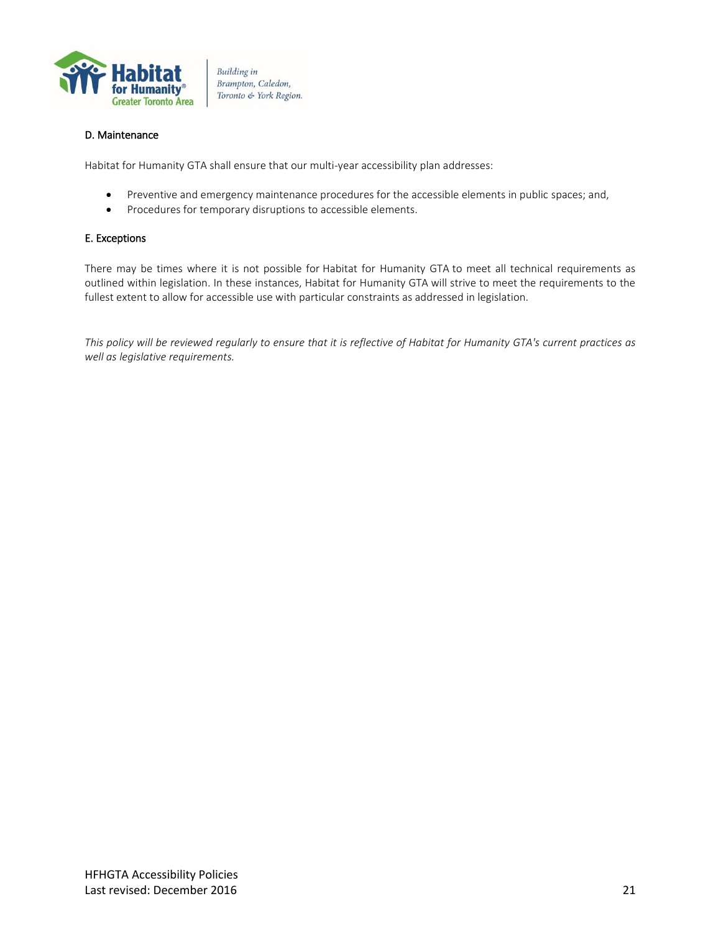

#### <span id="page-20-0"></span>D. Maintenance

Habitat for Humanity GTA shall ensure that our multi-year accessibility plan addresses:

- Preventive and emergency maintenance procedures for the accessible elements in public spaces; and,
- Procedures for temporary disruptions to accessible elements.

#### <span id="page-20-1"></span>E. Exceptions

There may be times where it is not possible for Habitat for Humanity GTA to meet all technical requirements as outlined within legislation. In these instances, Habitat for Humanity GTA will strive to meet the requirements to the fullest extent to allow for accessible use with particular constraints as addressed in legislation.

*This policy will be reviewed regularly to ensure that it is reflective of Habitat for Humanity GTA's current practices as well as legislative requirements.*